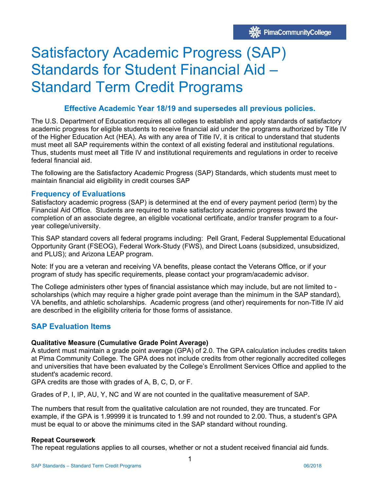# Satisfactory Academic Progress (SAP) Standards for Student Financial Aid – Standard Term Credit Programs

# **Effective Academic Year 18/19 and supersedes all previous policies.**

The U.S. Department of Education requires all colleges to establish and apply standards of satisfactory academic progress for eligible students to receive financial aid under the programs authorized by Title IV of the Higher Education Act (HEA). As with any area of Title IV, it is critical to understand that students must meet all SAP requirements within the context of all existing federal and institutional regulations. Thus, students must meet all Title IV and institutional requirements and regulations in order to receive federal financial aid.

The following are the Satisfactory Academic Progress (SAP) Standards, which students must meet to maintain financial aid eligibility in credit courses SAP

# **Frequency of Evaluations**

Satisfactory academic progress (SAP) is determined at the end of every payment period (term) by the Financial Aid Office. Students are required to make satisfactory academic progress toward the completion of an associate degree, an eligible vocational certificate, and/or transfer program to a fouryear college/university.

This SAP standard covers all federal programs including: Pell Grant, Federal Supplemental Educational Opportunity Grant (FSEOG), Federal Work-Study (FWS), and Direct Loans (subsidized, unsubsidized, and PLUS); and Arizona LEAP program.

Note: If you are a veteran and receiving VA benefits, please contact the Veterans Office, or if your program of study has specific requirements, please contact your program/academic advisor.

The College administers other types of financial assistance which may include, but are not limited to scholarships (which may require a higher grade point average than the minimum in the SAP standard), VA benefits, and athletic scholarships. Academic progress (and other) requirements for non-Title IV aid are described in the eligibility criteria for those forms of assistance.

# **SAP Evaluation Items**

## **Qualitative Measure (Cumulative Grade Point Average)**

A student must maintain a grade point average (GPA) of 2.0. The GPA calculation includes credits taken at Pima Community College. The GPA does not include credits from other regionally accredited colleges and universities that have been evaluated by the College's Enrollment Services Office and applied to the student's academic record.

GPA credits are those with grades of A, B, C, D, or F.

Grades of P, I, IP, AU, Y, NC and W are not counted in the qualitative measurement of SAP.

The numbers that result from the qualitative calculation are not rounded, they are truncated. For example, if the GPA is 1.99999 it is truncated to 1.99 and not rounded to 2.00. Thus, a student's GPA must be equal to or above the minimums cited in the SAP standard without rounding.

## **Repeat Coursework**

The repeat regulations applies to all courses, whether or not a student received financial aid funds.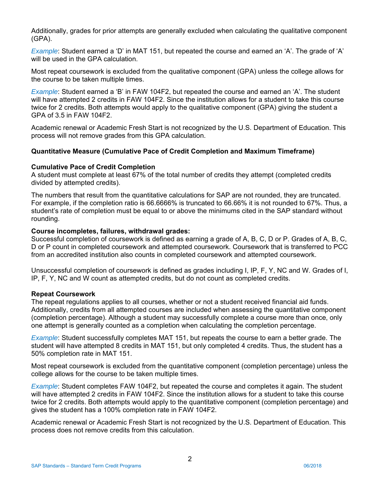Additionally, grades for prior attempts are generally excluded when calculating the qualitative component (GPA).

*Example*: Student earned a 'D' in MAT 151, but repeated the course and earned an 'A'. The grade of 'A' will be used in the GPA calculation.

Most repeat coursework is excluded from the qualitative component (GPA) unless the college allows for the course to be taken multiple times.

*Example*: Student earned a 'B' in FAW 104F2, but repeated the course and earned an 'A'. The student will have attempted 2 credits in FAW 104F2. Since the institution allows for a student to take this course twice for 2 credits. Both attempts would apply to the qualitative component (GPA) giving the student a GPA of 3.5 in FAW 104F2.

Academic renewal or Academic Fresh Start is not recognized by the U.S. Department of Education. This process will not remove grades from this GPA calculation.

## **Quantitative Measure (Cumulative Pace of Credit Completion and Maximum Timeframe)**

#### **Cumulative Pace of Credit Completion**

A student must complete at least 67% of the total number of credits they attempt (completed credits divided by attempted credits).

The numbers that result from the quantitative calculations for SAP are not rounded, they are truncated. For example, if the completion ratio is 66.6666% is truncated to 66.66% it is not rounded to 67%. Thus, a student's rate of completion must be equal to or above the minimums cited in the SAP standard without rounding.

#### **Course incompletes, failures, withdrawal grades:**

Successful completion of coursework is defined as earning a grade of A, B, C, D or P. Grades of A, B, C, D or P count in completed coursework and attempted coursework. Coursework that is transferred to PCC from an accredited institution also counts in completed coursework and attempted coursework.

Unsuccessful completion of coursework is defined as grades including I, IP, F, Y, NC and W. Grades of I, IP, F, Y, NC and W count as attempted credits, but do not count as completed credits.

## **Repeat Coursework**

The repeat regulations applies to all courses, whether or not a student received financial aid funds. Additionally, credits from all attempted courses are included when assessing the quantitative component (completion percentage). Although a student may successfully complete a course more than once, only one attempt is generally counted as a completion when calculating the completion percentage.

*Example*: Student successfully completes MAT 151, but repeats the course to earn a better grade. The student will have attempted 8 credits in MAT 151, but only completed 4 credits. Thus, the student has a 50% completion rate in MAT 151.

Most repeat coursework is excluded from the quantitative component (completion percentage) unless the college allows for the course to be taken multiple times.

*Example*: Student completes FAW 104F2, but repeated the course and completes it again. The student will have attempted 2 credits in FAW 104F2. Since the institution allows for a student to take this course twice for 2 credits. Both attempts would apply to the quantitative component (completion percentage) and gives the student has a 100% completion rate in FAW 104F2.

Academic renewal or Academic Fresh Start is not recognized by the U.S. Department of Education. This process does not remove credits from this calculation.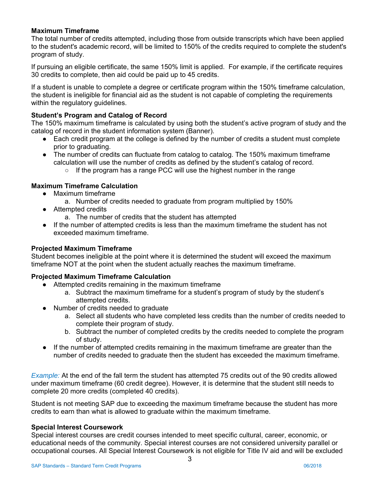# **Maximum Timeframe**

The total number of credits attempted, including those from outside transcripts which have been applied to the student's academic record, will be limited to 150% of the credits required to complete the student's program of study.

If pursuing an eligible certificate, the same 150% limit is applied. For example, if the certificate requires 30 credits to complete, then aid could be paid up to 45 credits.

If a student is unable to complete a degree or certificate program within the 150% timeframe calculation, the student is ineligible for financial aid as the student is not capable of completing the requirements within the regulatory guidelines.

# **Student's Program and Catalog of Record**

The 150% maximum timeframe is calculated by using both the student's active program of study and the catalog of record in the student information system (Banner).

- Each credit program at the college is defined by the number of credits a student must complete prior to graduating.
- The number of credits can fluctuate from catalog to catalog. The 150% maximum timeframe calculation will use the number of credits as defined by the student's catalog of record.
	- If the program has a range PCC will use the highest number in the range

# **Maximum Timeframe Calculation**

- Maximum timeframe
	- a. Number of credits needed to graduate from program multiplied by 150%
- Attempted credits
	- a. The number of credits that the student has attempted
- If the number of attempted credits is less than the maximum timeframe the student has not exceeded maximum timeframe.

## **Projected Maximum Timeframe**

Student becomes ineligible at the point where it is determined the student will exceed the maximum timeframe NOT at the point when the student actually reaches the maximum timeframe.

## **Projected Maximum Timeframe Calculation**

- Attempted credits remaining in the maximum timeframe
	- a. Subtract the maximum timeframe for a student's program of study by the student's attempted credits.
- Number of credits needed to graduate
	- a. Select all students who have completed less credits than the number of credits needed to complete their program of study.
	- b. Subtract the number of completed credits by the credits needed to complete the program of study.
- If the number of attempted credits remaining in the maximum timeframe are greater than the number of credits needed to graduate then the student has exceeded the maximum timeframe.

*Example:* At the end of the fall term the student has attempted 75 credits out of the 90 credits allowed under maximum timeframe (60 credit degree). However, it is determine that the student still needs to complete 20 more credits (completed 40 credits).

Student is not meeting SAP due to exceeding the maximum timeframe because the student has more credits to earn than what is allowed to graduate within the maximum timeframe.

#### **Special Interest Coursework**

Special interest courses are credit courses intended to meet specific cultural, career, economic, or educational needs of the community. Special interest courses are not considered university parallel or occupational courses. All Special Interest Coursework is not eligible for Title IV aid and will be excluded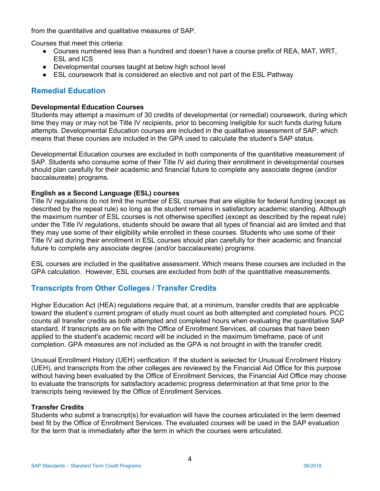from the quantitative and qualitative measures of SAP.

Courses that meet this criteria:

- Courses numbered less than a hundred and doesn't have a course prefix of REA, MAT, WRT, ESL and ICS
- Developmental courses taught at below high school level
- ESL coursework that is considered an elective and not part of the ESL Pathway

# **Remedial Education**

### **Developmental Education Courses**

Students may attempt a maximum of 30 credits of developmental (or remedial) coursework, during which time they may or may not be Title IV recipients, prior to becoming ineligible for such funds during future attempts. Developmental Education courses are included in the qualitative assessment of SAP, which means that these courses are included in the GPA used to calculate the student's SAP status.

Developmental Education courses are excluded in both components of the quantitative measurement of SAP. Students who consume some of their Title IV aid during their enrollment in developmental courses should plan carefully for their academic and financial future to complete any associate degree (and/or baccalaureate) programs.

## **English as a Second Language (ESL) courses**

Title IV regulations do not limit the number of ESL courses that are eligible for federal funding (except as described by the repeat rule) so long as the student remains in satisfactory academic standing. Although the maximum number of ESL courses is not otherwise specified (except as described by the repeat rule) under the Title IV regulations, students should be aware that all types of financial aid are limited and that they may use some of their eligibility while enrolled in these courses. Students who use some of their Title IV aid during their enrollment in ESL courses should plan carefully for their academic and financial future to complete any associate degree (and/or baccalaureate) programs.

ESL courses are included in the qualitative assessment. Which means these courses are included in the GPA calculation. However, ESL courses are excluded from both of the quantitative measurements.

# **Transcripts from Other Colleges / Transfer Credits**

Higher Education Act (HEA) regulations require that, at a minimum, transfer credits that are applicable toward the student's current program of study must count as both attempted and completed hours. PCC counts all transfer credits as both attempted and completed hours when evaluating the quantitative SAP standard. If transcripts are on file with the Office of Enrollment Services, all courses that have been applied to the student's academic record will be included in the maximum timeframe, pace of unit completion. GPA measures are not included as the GPA is not brought in with the transfer credit.

Unusual Enrollment History (UEH) verification. If the student is selected for Unusual Enrollment History (UEH), and transcripts from the other colleges are reviewed by the Financial Aid Office for this purpose without having been evaluated by the Office of Enrollment Services, the Financial Aid Office may choose to evaluate the transcripts for satisfactory academic progress determination at that time prior to the transcripts being reviewed by the Office of Enrollment Services.

#### **Transfer Credits**

Students who submit a transcript(s) for evaluation will have the courses articulated in the term deemed best fit by the Office of Enrollment Services. The evaluated courses will be used in the SAP evaluation for the term that is immediately after the term in which the courses were articulated.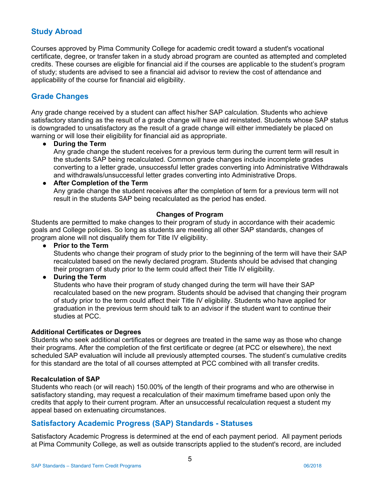# **Study Abroad**

Courses approved by Pima Community College for academic credit toward a student's vocational certificate, degree, or transfer taken in a study abroad program are counted as attempted and completed credits. These courses are eligible for financial aid if the courses are applicable to the student's program of study; students are advised to see a financial aid advisor to review the cost of attendance and applicability of the course for financial aid eligibility.

# **Grade Changes**

Any grade change received by a student can affect his/her SAP calculation. Students who achieve satisfactory standing as the result of a grade change will have aid reinstated. Students whose SAP status is downgraded to unsatisfactory as the result of a grade change will either immediately be placed on warning or will lose their eligibility for financial aid as appropriate.

#### ● **During the Term**

Any grade change the student receives for a previous term during the current term will result in the students SAP being recalculated. Common grade changes include incomplete grades converting to a letter grade, unsuccessful letter grades converting into Administrative Withdrawals and withdrawals/unsuccessful letter grades converting into Administrative Drops.

● **After Completion of the Term**  Any grade change the student receives after the completion of term for a previous term will not result in the students SAP being recalculated as the period has ended.

#### **Changes of Program**

Students are permitted to make changes to their program of study in accordance with their academic goals and College policies. So long as students are meeting all other SAP standards, changes of program alone will not disqualify them for Title IV eligibility.

● **Prior to the Term** 

Students who change their program of study prior to the beginning of the term will have their SAP recalculated based on the newly declared program. Students should be advised that changing their program of study prior to the term could affect their Title IV eligibility.

● **During the Term**

Students who have their program of study changed during the term will have their SAP recalculated based on the new program. Students should be advised that changing their program of study prior to the term could affect their Title IV eligibility. Students who have applied for graduation in the previous term should talk to an advisor if the student want to continue their studies at PCC.

#### **Additional Certificates or Degrees**

Students who seek additional certificates or degrees are treated in the same way as those who change their programs. After the completion of the first certificate or degree (at PCC or elsewhere), the next scheduled SAP evaluation will include all previously attempted courses. The student's cumulative credits for this standard are the total of all courses attempted at PCC combined with all transfer credits.

#### **Recalculation of SAP**

Students who reach (or will reach) 150.00% of the length of their programs and who are otherwise in satisfactory standing, may request a recalculation of their maximum timeframe based upon only the credits that apply to their current program. After an unsuccessful recalculation request a student my appeal based on extenuating circumstances.

# **Satisfactory Academic Progress (SAP) Standards - Statuses**

Satisfactory Academic Progress is determined at the end of each payment period. All payment periods at Pima Community College, as well as outside transcripts applied to the student's record, are included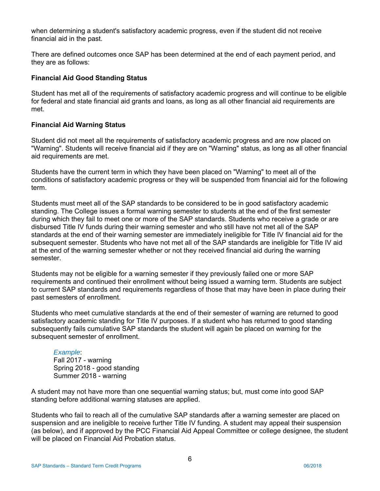when determining a student's satisfactory academic progress, even if the student did not receive financial aid in the past.

There are defined outcomes once SAP has been determined at the end of each payment period, and they are as follows:

#### **Financial Aid Good Standing Status**

Student has met all of the requirements of satisfactory academic progress and will continue to be eligible for federal and state financial aid grants and loans, as long as all other financial aid requirements are met.

#### **Financial Aid Warning Status**

Student did not meet all the requirements of satisfactory academic progress and are now placed on "Warning". Students will receive financial aid if they are on "Warning" status, as long as all other financial aid requirements are met.

Students have the current term in which they have been placed on "Warning" to meet all of the conditions of satisfactory academic progress or they will be suspended from financial aid for the following term.

Students must meet all of the SAP standards to be considered to be in good satisfactory academic standing. The College issues a formal warning semester to students at the end of the first semester during which they fail to meet one or more of the SAP standards. Students who receive a grade or are disbursed Title IV funds during their warning semester and who still have not met all of the SAP standards at the end of their warning semester are immediately ineligible for Title IV financial aid for the subsequent semester. Students who have not met all of the SAP standards are ineligible for Title IV aid at the end of the warning semester whether or not they received financial aid during the warning semester.

Students may not be eligible for a warning semester if they previously failed one or more SAP requirements and continued their enrollment without being issued a warning term. Students are subject to current SAP standards and requirements regardless of those that may have been in place during their past semesters of enrollment.

Students who meet cumulative standards at the end of their semester of warning are returned to good satisfactory academic standing for Title IV purposes. If a student who has returned to good standing subsequently fails cumulative SAP standards the student will again be placed on warning for the subsequent semester of enrollment.

#### *Example*:

Fall 2017 - warning Spring 2018 - good standing Summer 2018 - warning

A student may not have more than one sequential warning status; but, must come into good SAP standing before additional warning statuses are applied.

Students who fail to reach all of the cumulative SAP standards after a warning semester are placed on suspension and are ineligible to receive further Title IV funding. A student may appeal their suspension (as below), and if approved by the PCC Financial Aid Appeal Committee or college designee, the student will be placed on Financial Aid Probation status.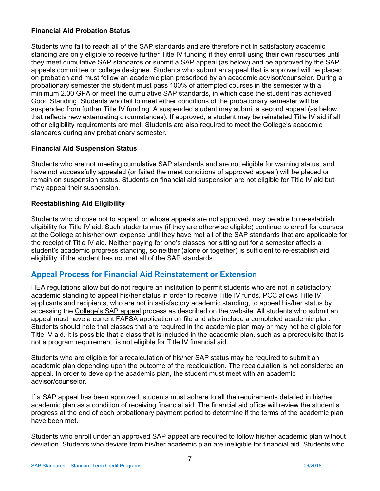# **Financial Aid Probation Status**

Students who fail to reach all of the SAP standards and are therefore not in satisfactory academic standing are only eligible to receive further Title IV funding if they enroll using their own resources until they meet cumulative SAP standards or submit a SAP appeal (as below) and be approved by the SAP appeals committee or college designee. Students who submit an appeal that is approved will be placed on probation and must follow an academic plan prescribed by an academic advisor/counselor. During a probationary semester the student must pass 100% of attempted courses in the semester with a minimum 2.00 GPA or meet the cumulative SAP standards, in which case the student has achieved Good Standing. Students who fail to meet either conditions of the probationary semester will be suspended from further Title IV funding. A suspended student may submit a second appeal (as below, that reflects new extenuating circumstances). If approved, a student may be reinstated Title IV aid if all other eligibility requirements are met. Students are also required to meet the College's academic standards during any probationary semester.

# **Financial Aid Suspension Status**

Students who are not meeting cumulative SAP standards and are not eligible for warning status, and have not successfully appealed (or failed the meet conditions of approved appeal) will be placed or remain on suspension status. Students on financial aid suspension are not eligible for Title IV aid but may appeal their suspension.

# **Reestablishing Aid Eligibility**

 student's academic progress standing, so neither (alone or together) is sufficient to re-establish aid Students who choose not to appeal, or whose appeals are not approved, may be able to re-establish eligibility for Title IV aid. Such students may (if they are otherwise eligible) continue to enroll for courses at the College at his/her own expense until they have met all of the SAP standards that are applicable for the receipt of Title IV aid. Neither paying for one's classes nor sitting out for a semester affects a eligibility, if the student has not met all of the SAP standards.

# **Appeal Process for Financial Aid Reinstatement or Extension**

HEA regulations allow but do not require an institution to permit students who are not in satisfactory academic standing to appeal his/her status in order to receive Title IV funds. PCC allows Title IV applicants and recipients, who are not in satisfactory academic standing, to appeal his/her status by accessing the College's SAP appeal process as described on the website. All students who submit an appeal must have a current FAFSA application on file and also include a completed academic plan. Students should note that classes that are required in the academic plan may or may not be eligible for Title IV aid. It is possible that a class that is included in the academic plan, such as a prerequisite that is not a program requirement, is not eligible for Title IV financial aid.

Students who are eligible for a recalculation of his/her SAP status may be required to submit an academic plan depending upon the outcome of the recalculation. The recalculation is not considered an appeal. In order to develop the academic plan, the student must meet with an academic advisor/counselor.

If a SAP appeal has been approved, students must adhere to all the requirements detailed in his/her academic plan as a condition of receiving financial aid. The financial aid office will review the student's progress at the end of each probationary payment period to determine if the terms of the academic plan have been met.

Students who enroll under an approved SAP appeal are required to follow his/her academic plan without deviation. Students who deviate from his/her academic plan are ineligible for financial aid. Students who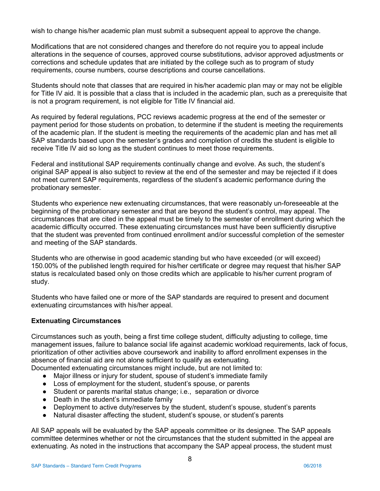wish to change his/her academic plan must submit a subsequent appeal to approve the change.

Modifications that are not considered changes and therefore do not require you to appeal include alterations in the sequence of courses, approved course substitutions, advisor approved adjustments or corrections and schedule updates that are initiated by the college such as to program of study requirements, course numbers, course descriptions and course cancellations.

Students should note that classes that are required in his/her academic plan may or may not be eligible for Title IV aid. It is possible that a class that is included in the academic plan, such as a prerequisite that is not a program requirement, is not eligible for Title IV financial aid.

As required by federal regulations, PCC reviews academic progress at the end of the semester or payment period for those students on probation, to determine if the student is meeting the requirements of the academic plan. If the student is meeting the requirements of the academic plan and has met all SAP standards based upon the semester's grades and completion of credits the student is eligible to receive Title IV aid so long as the student continues to meet those requirements.

Federal and institutional SAP requirements continually change and evolve. As such, the student's original SAP appeal is also subject to review at the end of the semester and may be rejected if it does not meet current SAP requirements, regardless of the student's academic performance during the probationary semester.

Students who experience new extenuating circumstances, that were reasonably un-foreseeable at the beginning of the probationary semester and that are beyond the student's control, may appeal. The circumstances that are cited in the appeal must be timely to the semester of enrollment during which the academic difficulty occurred. These extenuating circumstances must have been sufficiently disruptive that the student was prevented from continued enrollment and/or successful completion of the semester and meeting of the SAP standards.

Students who are otherwise in good academic standing but who have exceeded (or will exceed) 150.00% of the published length required for his/her certificate or degree may request that his/her SAP status is recalculated based only on those credits which are applicable to his/her current program of study.

Students who have failed one or more of the SAP standards are required to present and document extenuating circumstances with his/her appeal.

# **Extenuating Circumstances**

Circumstances such as youth, being a first time college student, difficulty adjusting to college, time management issues, failure to balance social life against academic workload requirements, lack of focus, prioritization of other activities above coursework and inability to afford enrollment expenses in the absence of financial aid are not alone sufficient to qualify as extenuating.

- Documented extenuating circumstances might include, but are not limited to:
	- Major illness or injury for student, spouse of student's immediate family
	- Loss of employment for the student, student's spouse, or parents
	- Student or parents marital status change; i.e., separation or divorce
	- Death in the student's immediate family
	- Deployment to active duty/reserves by the student, student's spouse, student's parents
	- Natural disaster affecting the student, student's spouse, or student's parents

All SAP appeals will be evaluated by the SAP appeals committee or its designee. The SAP appeals committee determines whether or not the circumstances that the student submitted in the appeal are extenuating. As noted in the instructions that accompany the SAP appeal process, the student must